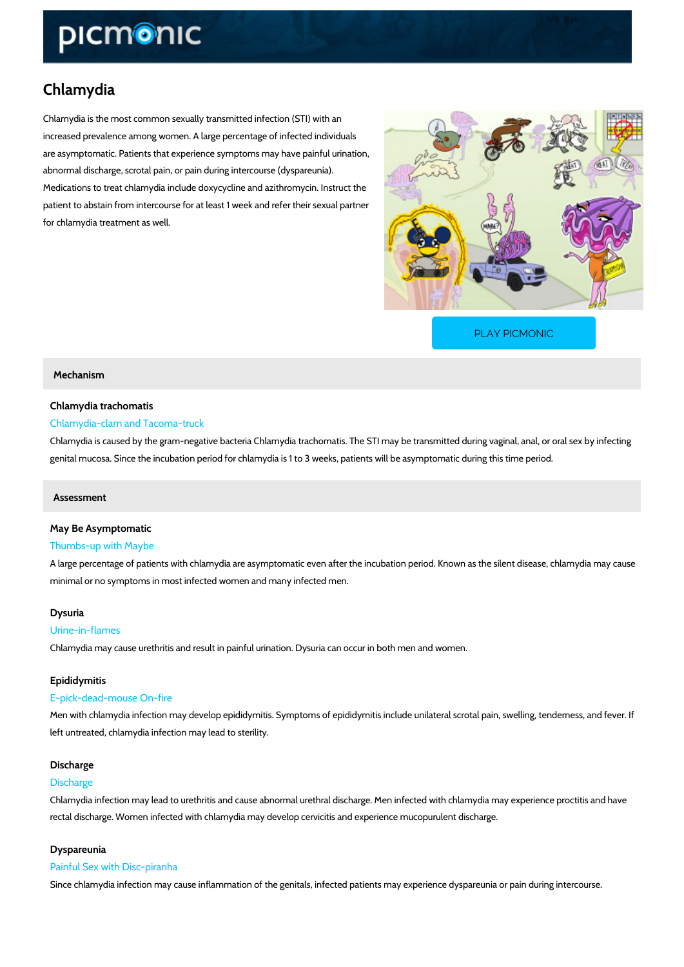# Chlamydia

Chlamydia is the most common sexually transmitted infection (STI) with an increased prevalence among women. A large percentage of infected individuals are asymptomatic. Patients that experience symptoms may have painful urination, abnormal discharge, scrotal pain, or pain during intercourse (dyspareunia). Medications to treat chlamydia include doxycycline and azithromycin. Instruct the patient to abstain from intercourse for at least 1 week and refer their sexual partner for chlamydia treatment as well.

[PLAY PICMONIC](https://www.picmonic.com/learn/chlamydia_2174?utm_source=downloadable_content&utm_medium=distributedcontent&utm_campaign=pathways_pdf&utm_content=Chlamydia&utm_ad_group=leads&utm_market=all)

## Mechanism

## Chlamydia trachomatis Chlamydia-clam and Tacoma-truck

Chlamydia is caused by the gram-negative bacteria Chlamydia trachomatis. The STI may be transmitted or or or or genital mucosa. Since the incubation period for chlamydia is 1 to 3 weeks, patients will be as

## Assessment

## May Be Asymptomatic

## Thumbs-up with Maybe

A large percentage of patients with chlamydia are asymptomatic even after the incubation per minimal or no symptoms in most infected women and many infected men.

## Dysuria

## Urine-in-flames

Chlamydia may cause urethritis and result in painful urination. Dysuria can occur in both men

## Epididymitis

## E-pick-dead-mouse On-fire

Men with chlamydia infection may develop epididymitis. Symptoms of epididymitis include unil left untreated, chlamydia infection may lead to sterility.

## Discharge

## Discharge

Chlamydia infection may lead to urethritis and cause abnormal urethral discharge. Men infecte rectal discharge. Women infected with chlamydia may develop cervicitis and experience mucop

## Dyspareunia

#### Painful Sex with Disc-piranha

Since chlamydia infection may cause inflammation of the genitals, infected patients may expe